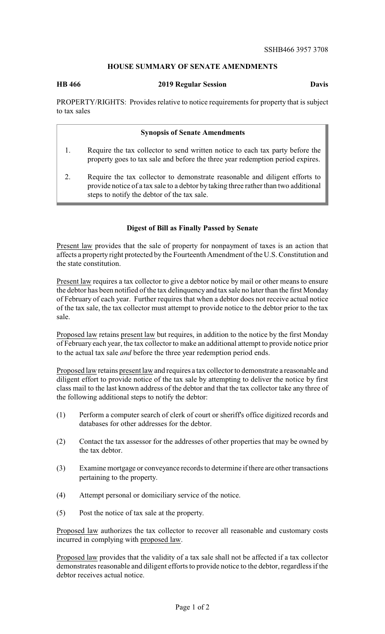## **HOUSE SUMMARY OF SENATE AMENDMENTS**

**HB 466 2019 Regular Session Davis**

PROPERTY/RIGHTS: Provides relative to notice requirements for property that is subject to tax sales

## **Synopsis of Senate Amendments**

- 1. Require the tax collector to send written notice to each tax party before the property goes to tax sale and before the three year redemption period expires.
- 2. Require the tax collector to demonstrate reasonable and diligent efforts to provide notice of a tax sale to a debtor by taking three rather than two additional steps to notify the debtor of the tax sale.

## **Digest of Bill as Finally Passed by Senate**

Present law provides that the sale of property for nonpayment of taxes is an action that affects a property right protected by the Fourteenth Amendment of the U.S. Constitution and the state constitution.

Present law requires a tax collector to give a debtor notice by mail or other means to ensure the debtor has been notified of the tax delinquency and tax sale no later than the first Monday of February of each year. Further requires that when a debtor does not receive actual notice of the tax sale, the tax collector must attempt to provide notice to the debtor prior to the tax sale.

Proposed law retains present law but requires, in addition to the notice by the first Monday of February each year, the tax collector to make an additional attempt to provide notice prior to the actual tax sale *and* before the three year redemption period ends.

Proposed law retains present law and requires a tax collector to demonstrate a reasonable and diligent effort to provide notice of the tax sale by attempting to deliver the notice by first class mail to the last known address of the debtor and that the tax collector take any three of the following additional steps to notify the debtor:

- (1) Perform a computer search of clerk of court or sheriff's office digitized records and databases for other addresses for the debtor.
- (2) Contact the tax assessor for the addresses of other properties that may be owned by the tax debtor.
- (3) Examine mortgage or conveyance records to determine if there are other transactions pertaining to the property.
- (4) Attempt personal or domiciliary service of the notice.
- (5) Post the notice of tax sale at the property.

Proposed law authorizes the tax collector to recover all reasonable and customary costs incurred in complying with proposed law.

Proposed law provides that the validity of a tax sale shall not be affected if a tax collector demonstrates reasonable and diligent efforts to provide notice to the debtor, regardless if the debtor receives actual notice.